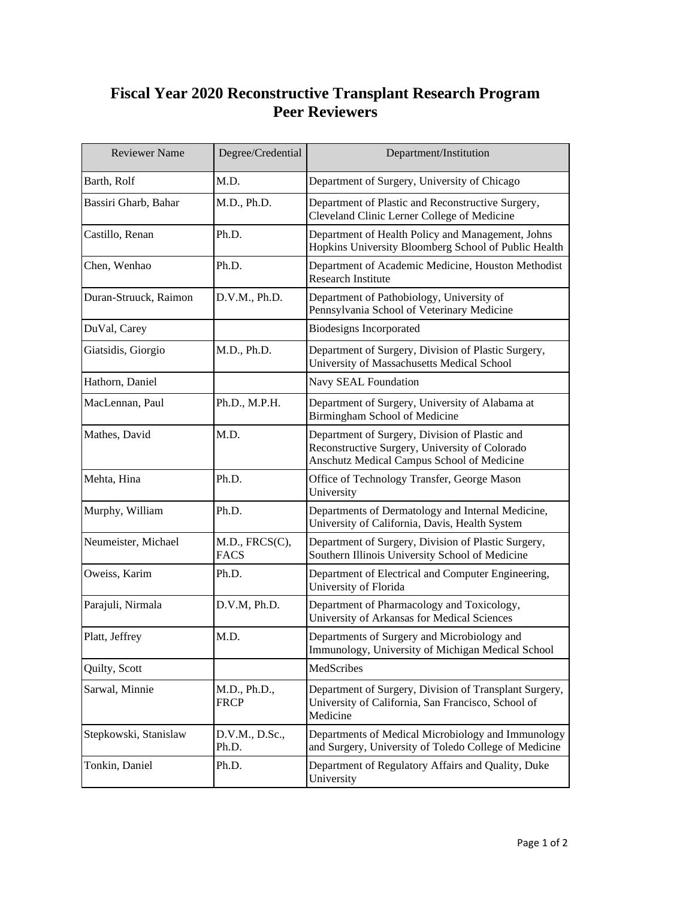## **Fiscal Year 2020 Reconstructive Transplant Research Program Peer Reviewers**

| <b>Reviewer Name</b>  | Degree/Credential             | Department/Institution                                                                                                                         |
|-----------------------|-------------------------------|------------------------------------------------------------------------------------------------------------------------------------------------|
| Barth, Rolf           | M.D.                          | Department of Surgery, University of Chicago                                                                                                   |
| Bassiri Gharb, Bahar  | M.D., Ph.D.                   | Department of Plastic and Reconstructive Surgery,<br>Cleveland Clinic Lerner College of Medicine                                               |
| Castillo, Renan       | Ph.D.                         | Department of Health Policy and Management, Johns<br>Hopkins University Bloomberg School of Public Health                                      |
| Chen, Wenhao          | Ph.D.                         | Department of Academic Medicine, Houston Methodist<br><b>Research Institute</b>                                                                |
| Duran-Struuck, Raimon | D.V.M., Ph.D.                 | Department of Pathobiology, University of<br>Pennsylvania School of Veterinary Medicine                                                        |
| DuVal, Carey          |                               | <b>Biodesigns Incorporated</b>                                                                                                                 |
| Giatsidis, Giorgio    | M.D., Ph.D.                   | Department of Surgery, Division of Plastic Surgery,<br>University of Massachusetts Medical School                                              |
| Hathorn, Daniel       |                               | Navy SEAL Foundation                                                                                                                           |
| MacLennan, Paul       | Ph.D., M.P.H.                 | Department of Surgery, University of Alabama at<br>Birmingham School of Medicine                                                               |
| Mathes, David         | M.D.                          | Department of Surgery, Division of Plastic and<br>Reconstructive Surgery, University of Colorado<br>Anschutz Medical Campus School of Medicine |
| Mehta, Hina           | Ph.D.                         | Office of Technology Transfer, George Mason<br>University                                                                                      |
| Murphy, William       | Ph.D.                         | Departments of Dermatology and Internal Medicine,<br>University of California, Davis, Health System                                            |
| Neumeister, Michael   | M.D., FRCS(C),<br><b>FACS</b> | Department of Surgery, Division of Plastic Surgery,<br>Southern Illinois University School of Medicine                                         |
| Oweiss, Karim         | Ph.D.                         | Department of Electrical and Computer Engineering,<br>University of Florida                                                                    |
| Parajuli, Nirmala     | D.V.M, Ph.D.                  | Department of Pharmacology and Toxicology,<br>University of Arkansas for Medical Sciences                                                      |
| Platt, Jeffrey        | M.D.                          | Departments of Surgery and Microbiology and<br>Immunology, University of Michigan Medical School                                               |
| Quilty, Scott         |                               | MedScribes                                                                                                                                     |
| Sarwal, Minnie        | M.D., Ph.D.,<br><b>FRCP</b>   | Department of Surgery, Division of Transplant Surgery,<br>University of California, San Francisco, School of<br>Medicine                       |
| Stepkowski, Stanislaw | D.V.M., D.Sc.,<br>Ph.D.       | Departments of Medical Microbiology and Immunology<br>and Surgery, University of Toledo College of Medicine                                    |
| Tonkin, Daniel        | Ph.D.                         | Department of Regulatory Affairs and Quality, Duke<br>University                                                                               |